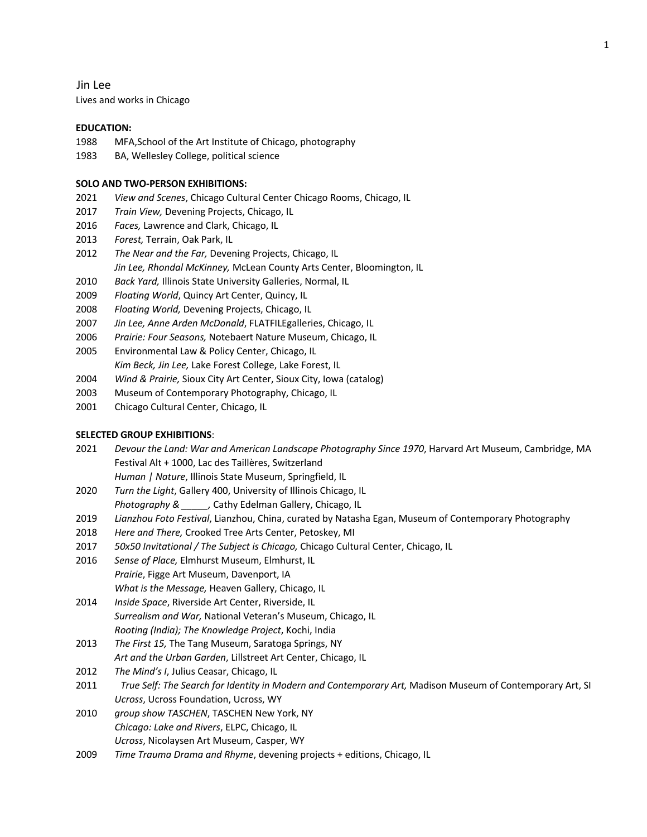Jin Lee Lives and works in Chicago

### **EDUCATION:**

- 1988 MFA,School of the Art Institute of Chicago, photography
- 1983 BA, Wellesley College, political science

### **SOLO AND TWO-PERSON EXHIBITIONS:**

- 2021 *View and Scenes*, Chicago Cultural Center Chicago Rooms, Chicago, IL
- 2017 *Train View,* Devening Projects, Chicago, IL
- 2016 *Faces,* Lawrence and Clark, Chicago, IL
- 2013 *Forest,* Terrain, Oak Park, IL
- 2012 *The Near and the Far,* Devening Projects, Chicago, IL *Jin Lee, Rhondal McKinney,* McLean County Arts Center, Bloomington, IL
- 2010 *Back Yard,* Illinois State University Galleries, Normal, IL
- 2009 *Floating World*, Quincy Art Center, Quincy, IL
- 2008 *Floating World,* Devening Projects, Chicago, IL
- 2007 *Jin Lee, Anne Arden McDonald*, FLATFILEgalleries, Chicago, IL
- 2006 *Prairie: Four Seasons,* Notebaert Nature Museum, Chicago, IL
- 2005 Environmental Law & Policy Center, Chicago, IL *Kim Beck, Jin Lee,* Lake Forest College, Lake Forest, IL
- 2004 *Wind & Prairie,* Sioux City Art Center, Sioux City, Iowa (catalog)
- 2003 Museum of Contemporary Photography, Chicago, IL
- 2001 Chicago Cultural Center, Chicago, IL

## **SELECTED GROUP EXHIBITIONS**:

- 2021 *Devour the Land: War and American Landscape Photography Since 1970*, Harvard Art Museum, Cambridge, MA Festival Alt + 1000, Lac des Taillères, Switzerland
	- *Human | Nature*, Illinois State Museum, Springfield, IL
- 2020 *Turn the Light*, Gallery 400, University of Illinois Chicago, IL *Photography & \_\_\_\_\_,* Cathy Edelman Gallery, Chicago, IL
- 2019 *Lianzhou Foto Festival*, Lianzhou, China, curated by Natasha Egan, Museum of Contemporary Photography
- 2018 *Here and There,* Crooked Tree Arts Center, Petoskey, MI
- 2017 *50x50 Invitational / The Subject is Chicago,* Chicago Cultural Center, Chicago, IL
- 2016 *Sense of Place,* Elmhurst Museum, Elmhurst, IL *Prairie*, Figge Art Museum, Davenport, IA *What is the Message,* Heaven Gallery, Chicago, IL
- 2014 *Inside Space*, Riverside Art Center, Riverside, IL *Surrealism and War,* National Veteran's Museum, Chicago, IL *Rooting (India); The Knowledge Project*, Kochi, India
- 2013 *The First 15,* The Tang Museum, Saratoga Springs, NY
- *Art and the Urban Garden*, Lillstreet Art Center, Chicago, IL
- 2012 *The Mind's I*, Julius Ceasar, Chicago, IL
- 2011 *True Self: The Search for Identity in Modern and Contemporary Art,* Madison Museum of Contemporary Art, SI *Ucross*, Ucross Foundation, Ucross, WY
- 2010 *group show TASCHEN*, TASCHEN New York, NY *Chicago: Lake and Rivers*, ELPC, Chicago, IL *Ucross*, Nicolaysen Art Museum, Casper, WY
- 2009 *Time Trauma Drama and Rhyme*, devening projects + editions, Chicago, IL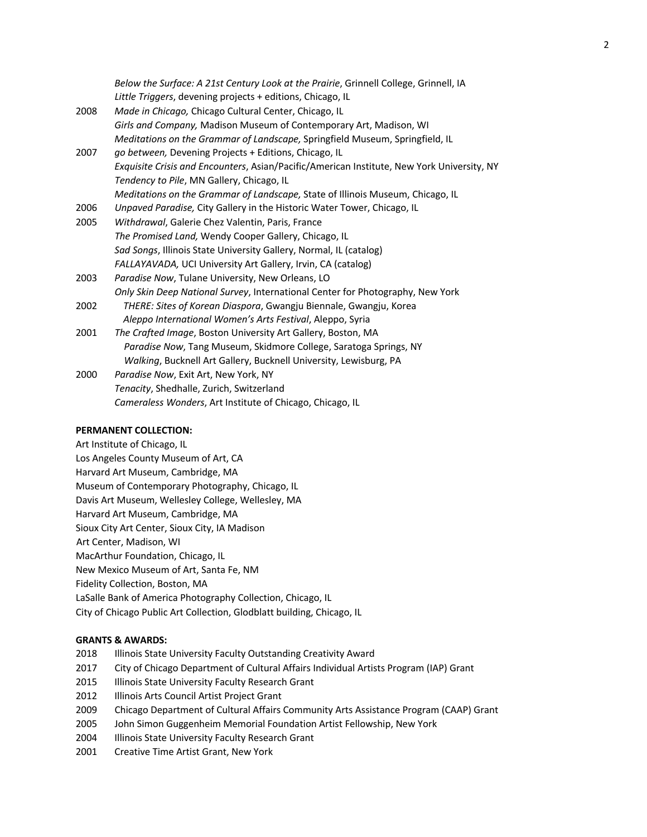|      | Below the Surface: A 21st Century Look at the Prairie, Grinnell College, Grinnell, IA<br>Little Triggers, devening projects + editions, Chicago, IL |
|------|-----------------------------------------------------------------------------------------------------------------------------------------------------|
| 2008 | Made in Chicago, Chicago Cultural Center, Chicago, IL                                                                                               |
|      | Girls and Company, Madison Museum of Contemporary Art, Madison, WI                                                                                  |
|      | Meditations on the Grammar of Landscape, Springfield Museum, Springfield, IL                                                                        |
| 2007 | go between, Devening Projects + Editions, Chicago, IL                                                                                               |
|      | Exquisite Crisis and Encounters, Asian/Pacific/American Institute, New York University, NY                                                          |
|      | Tendency to Pile, MN Gallery, Chicago, IL                                                                                                           |
|      | Meditations on the Grammar of Landscape, State of Illinois Museum, Chicago, IL                                                                      |
| 2006 | Unpaved Paradise, City Gallery in the Historic Water Tower, Chicago, IL                                                                             |
| 2005 | Withdrawal, Galerie Chez Valentin, Paris, France                                                                                                    |
|      | The Promised Land, Wendy Cooper Gallery, Chicago, IL                                                                                                |
|      | Sad Songs, Illinois State University Gallery, Normal, IL (catalog)                                                                                  |
|      | FALLAYAVADA, UCI University Art Gallery, Irvin, CA (catalog)                                                                                        |
| 2003 | Paradise Now, Tulane University, New Orleans, LO                                                                                                    |
|      | Only Skin Deep National Survey, International Center for Photography, New York                                                                      |
| 2002 | THERE: Sites of Korean Diaspora, Gwangju Biennale, Gwangju, Korea                                                                                   |
|      | Aleppo International Women's Arts Festival, Aleppo, Syria                                                                                           |
| 2001 | The Crafted Image, Boston University Art Gallery, Boston, MA                                                                                        |
|      | Paradise Now, Tang Museum, Skidmore College, Saratoga Springs, NY                                                                                   |
|      | Walking, Bucknell Art Gallery, Bucknell University, Lewisburg, PA                                                                                   |
| 2000 | Paradise Now, Exit Art, New York, NY                                                                                                                |
|      | Tenacity, Shedhalle, Zurich, Switzerland                                                                                                            |
|      | Cameraless Wonders, Art Institute of Chicago, Chicago, IL                                                                                           |

## **PERMANENT COLLECTION:**

Art Institute of Chicago, IL Los Angeles County Museum of Art, CA Harvard Art Museum, Cambridge, MA Museum of Contemporary Photography, Chicago, IL Davis Art Museum, Wellesley College, Wellesley, MA Harvard Art Museum, Cambridge, MA Sioux City Art Center, Sioux City, IA Madison Art Center, Madison, WI MacArthur Foundation, Chicago, IL New Mexico Museum of Art, Santa Fe, NM Fidelity Collection, Boston, MA LaSalle Bank of America Photography Collection, Chicago, IL City of Chicago Public Art Collection, Glodblatt building, Chicago, IL

# **GRANTS & AWARDS:**

- 2018 Illinois State University Faculty Outstanding Creativity Award
- 2017 City of Chicago Department of Cultural Affairs Individual Artists Program (IAP) Grant
- 2015 Illinois State University Faculty Research Grant
- 2012 Illinois Arts Council Artist Project Grant
- 2009 Chicago Department of Cultural Affairs Community Arts Assistance Program (CAAP) Grant
- 2005 John Simon Guggenheim Memorial Foundation Artist Fellowship, New York
- 2004 Illinois State University Faculty Research Grant
- 2001 Creative Time Artist Grant, New York